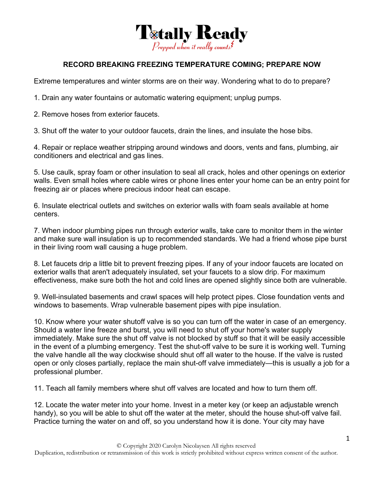

## **RECORD BREAKING FREEZING TEMPERATURE COMING; PREPARE NOW**

Extreme temperatures and winter storms are on their way. Wondering what to do to prepare?

1. Drain any water fountains or automatic watering equipment; unplug pumps.

2. Remove hoses from exterior faucets.

3. Shut off the water to your outdoor faucets, drain the lines, and insulate the hose bibs.

4. Repair or replace weather stripping around windows and doors, vents and fans, plumbing, air conditioners and electrical and gas lines.

5. Use caulk, spray foam or other insulation to seal all crack, holes and other openings on exterior walls. Even small holes where cable wires or phone lines enter your home can be an entry point for freezing air or places where precious indoor heat can escape.

6. Insulate electrical outlets and switches on exterior walls with foam seals available at home centers.

7. When indoor plumbing pipes run through exterior walls, take care to monitor them in the winter and make sure wall insulation is up to recommended standards. We had a friend whose pipe burst in their living room wall causing a huge problem.

8. Let faucets drip a little bit to prevent freezing pipes. If any of your indoor faucets are located on exterior walls that aren't adequately insulated, set your faucets to a slow drip. For maximum effectiveness, make sure both the hot and cold lines are opened slightly since both are vulnerable.

9. Well-insulated basements and crawl spaces will help protect pipes. Close foundation vents and windows to basements. Wrap vulnerable basement pipes with pipe insulation.

10. Know where your water shutoff valve is so you can turn off the water in case of an emergency. Should a water line freeze and burst, you will need to shut off your home's water supply immediately. Make sure the shut off valve is not blocked by stuff so that it will be easily accessible in the event of a plumbing emergency. Test the shut-off valve to be sure it is working well. Turning the valve handle all the way clockwise should shut off all water to the house. If the valve is rusted open or only closes partially, replace the main shut-off valve immediately—this is usually a job for a professional plumber.

11. Teach all family members where shut off valves are located and how to turn them off.

12. Locate the water meter into your home. Invest in a meter key (or keep an adjustable wrench handy), so you will be able to shut off the water at the meter, should the house shut-off valve fail. Practice turning the water on and off, so you understand how it is done. Your city may have

Duplication, redistribution or retransmission of this work is strictly prohibited without express written consent of the author.